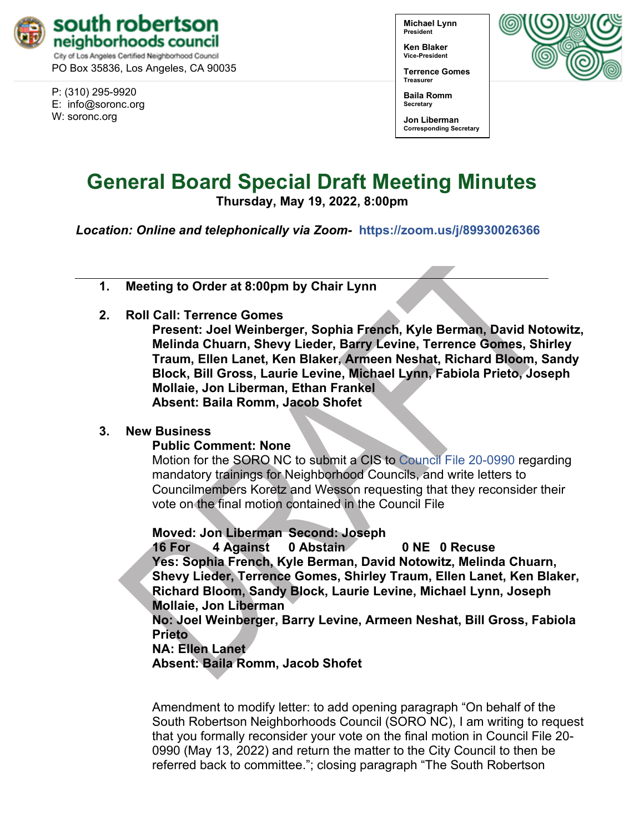

PO Box 35836, Los Angeles, CA 90035

P: (310) 295-9920 E: [info@soronc.org](mailto:info@soronc.org) W: soronc.org

**Michael Lynn President**

**Ken Blaker Vice-President**

**Terrence Gomes Treasurer**



**Baila Romm Secretary**

**Jon Liberman Corresponding Secretary**

## **General Board Special Draft Meeting Minutes**

**Thursday, May 19, 2022, 8:00pm**

*Location: Online and telephonically via Zoom-* **<https://zoom.us/j/89930026366>**

**1. Meeting to Order at 8:00pm by Chair Lynn**

**2. Roll Call: Terrence Gomes**

**Present: Joel Weinberger, Sophia French, Kyle Berman, David Notowitz, Melinda Chuarn, Shevy Lieder, Barry Levine, Terrence Gomes, Shirley Traum, Ellen Lanet, Ken Blaker, Armeen Neshat, Richard Bloom, Sandy Block, Bill Gross, Laurie Levine, Michael Lynn, Fabiola Prieto, Joseph Mollaie, Jon Liberman, Ethan Frankel Absent: Baila Romm, Jacob Shofet**

## **3. New Business**

## **Public Comment: None**

Motion for the SORO NC to submit a CIS to [Council File 20-0990](https://cityclerk.lacity.org/lacityclerkconnect/index.cfm?fa=ccfi.viewrecord&cfnumber=20-0990) regarding mandatory trainings for Neighborhood Councils, and write letters to Councilmembers Koretz and Wesson requesting that they reconsider their vote on the final motion contained in the Council File

**Moved: Jon Liberman Second: Joseph**

**16 For 4 Against 0 Abstain 0 NE 0 Recuse Yes: Sophia French, Kyle Berman, David Notowitz, Melinda Chuarn, Shevy Lieder, Terrence Gomes, Shirley Traum, Ellen Lanet, Ken Blaker, Richard Bloom, Sandy Block, Laurie Levine, Michael Lynn, Joseph Mollaie, Jon Liberman**

**No: Joel Weinberger, Barry Levine, Armeen Neshat, Bill Gross, Fabiola Prieto**

## **NA: Ellen Lanet**

**Absent: Baila Romm, Jacob Shofet**

Amendment to modify letter: to add opening paragraph "On behalf of the South Robertson Neighborhoods Council (SORO NC), I am writing to request that you formally reconsider your vote on the final motion in Council File 20- 0990 (May 13, 2022) and return the matter to the City Council to then be referred back to committee."; closing paragraph "The South Robertson